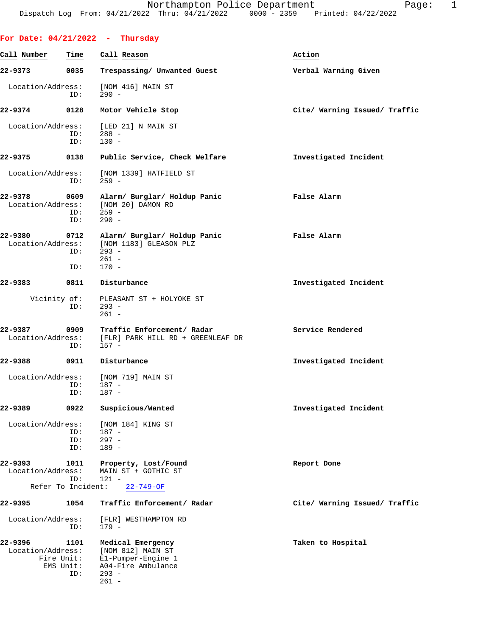|                              |                                        | For Date: $04/21/2022$ - Thursday                                                                        |                               |
|------------------------------|----------------------------------------|----------------------------------------------------------------------------------------------------------|-------------------------------|
| Call Number                  | Time                                   | Call Reason                                                                                              | Action                        |
| 22-9373                      | 0035                                   | Trespassing/ Unwanted Guest                                                                              | Verbal Warning Given          |
| Location/Address:            | ID:                                    | [NOM 416] MAIN ST<br>$290 -$                                                                             |                               |
| 22-9374                      | 0128                                   | Motor Vehicle Stop                                                                                       | Cite/ Warning Issued/ Traffic |
| Location/Address:            | ID:<br>ID:                             | [LED 21] N MAIN ST<br>$288 -$<br>$130 -$                                                                 |                               |
| 22-9375                      | 0138                                   | Public Service, Check Welfare                                                                            | Investigated Incident         |
| Location/Address:            | ID:                                    | [NOM 1339] HATFIELD ST<br>$259 -$                                                                        |                               |
| 22-9378<br>Location/Address: | 0609<br>ID:<br>ID:                     | Alarm/ Burglar/ Holdup Panic<br>[NOM 20] DAMON RD<br>$259 -$<br>$290 -$                                  | False Alarm                   |
| 22-9380<br>Location/Address: | 0712<br>ID:<br>ID:                     | Alarm/ Burglar/ Holdup Panic<br>[NOM 1183] GLEASON PLZ<br>$293 -$<br>$261 -$<br>$170 -$                  | False Alarm                   |
| 22-9383                      | 0811                                   | Disturbance                                                                                              | Investigated Incident         |
|                              | Vicinity of:<br>ID:                    | PLEASANT ST + HOLYOKE ST<br>$293 -$<br>$261 -$                                                           |                               |
| 22-9387<br>Location/Address: | 0909<br>ID:                            | Traffic Enforcement/ Radar<br>[FLR] PARK HILL RD + GREENLEAF DR<br>$157 -$                               | Service Rendered              |
| 22-9388                      | 0911                                   | Disturbance                                                                                              | Investigated Incident         |
| Location/Address:            | ID:<br>ID:                             | [NOM 719] MAIN ST<br>187 -<br>187 -                                                                      |                               |
| 22-9389                      | 0922                                   | Suspicious/Wanted                                                                                        | Investigated Incident         |
| Location/Address:            | ID:<br>ID:<br>ID:                      | [NOM 184] KING ST<br>$187 -$<br>$297 -$<br>$189 -$                                                       |                               |
| 22-9393<br>Location/Address: | 1011<br>ID:                            | Property, Lost/Found<br>MAIN ST + GOTHIC ST<br>$121 -$                                                   | Report Done                   |
|                              | Refer To Incident:                     | $22 - 749 - OF$                                                                                          |                               |
| 22-9395                      | 1054                                   | Traffic Enforcement/ Radar                                                                               | Cite/ Warning Issued/ Traffic |
| Location/Address:            | ID:                                    | [FLR] WESTHAMPTON RD<br>$179 -$                                                                          |                               |
| 22-9396<br>Location/Address: | 1101<br>Fire Unit:<br>EMS Unit:<br>ID: | Medical Emergency<br>[NOM 812] MAIN ST<br>E1-Pumper-Engine 1<br>A04-Fire Ambulance<br>$293 -$<br>$261 -$ | Taken to Hospital             |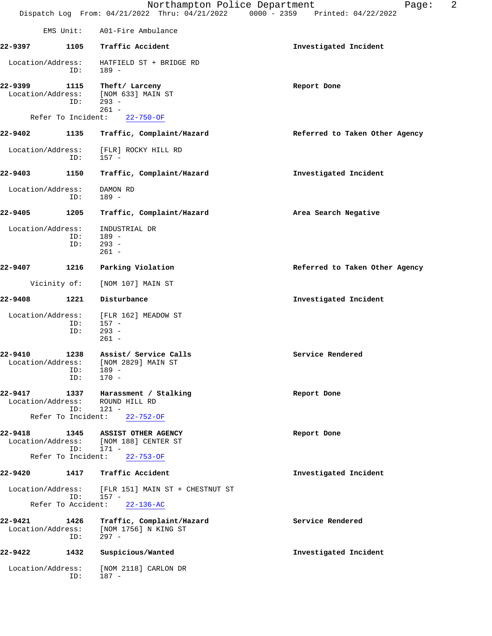|                              |                           | Northampton Police Department<br>Dispatch Log From: 04/21/2022 Thru: 04/21/2022 0000 - 2359 Printed: 04/22/2022 | 2<br>Page:                     |
|------------------------------|---------------------------|-----------------------------------------------------------------------------------------------------------------|--------------------------------|
|                              |                           |                                                                                                                 |                                |
|                              | EMS Unit:                 | A01-Fire Ambulance                                                                                              |                                |
| 22-9397                      | 1105                      | Traffic Accident                                                                                                | Investigated Incident          |
| Location/Address:            | ID:                       | HATFIELD ST + BRIDGE RD<br>$189 -$                                                                              |                                |
| 22-9399<br>Location/Address: | 1115<br>ID:               | Theft/ Larceny<br>[NOM 633] MAIN ST<br>$293 -$                                                                  | Report Done                    |
|                              | Refer To Incident:        | $261 -$<br>$22 - 750 - OF$                                                                                      |                                |
| 22-9402                      | 1135                      | Traffic, Complaint/Hazard                                                                                       | Referred to Taken Other Agency |
| Location/Address:            | ID:                       | [FLR] ROCKY HILL RD<br>$157 -$                                                                                  |                                |
| 22-9403                      | 1150                      | Traffic, Complaint/Hazard                                                                                       | Investigated Incident          |
| Location/Address:            | ID:                       | DAMON RD<br>$189 -$                                                                                             |                                |
| 22-9405                      | 1205                      | Traffic, Complaint/Hazard                                                                                       | Area Search Negative           |
| Location/Address:            | ID:<br>ID:                | INDUSTRIAL DR<br>$189 -$<br>$293 -$<br>$261 -$                                                                  |                                |
| 22-9407                      | 1216                      | Parking Violation                                                                                               | Referred to Taken Other Agency |
|                              | Vicinity of:              | [NOM 107] MAIN ST                                                                                               |                                |
| 22-9408                      | 1221                      | Disturbance                                                                                                     | Investigated Incident          |
| Location/Address:            | ID:<br>ID:                | [FLR 162] MEADOW ST<br>$157 -$<br>$293 -$<br>$261 -$                                                            |                                |
| 22-9410<br>Location/Address: | 1238<br>ID:<br>ID:        | Assist/ Service Calls<br>[NOM 2829] MAIN ST<br>$189 -$<br>$170 -$                                               | Service Rendered               |
| 22-9417<br>Location/Address: | ID:<br>Refer To Incident: | 1337 Harassment / Stalking<br>ROUND HILL RD<br>$121 -$<br>$22 - 752 - OF$                                       | Report Done                    |
| 22-9418                      | 1345<br>ID:               | ASSIST OTHER AGENCY<br>Location/Address: [NOM 188] CENTER ST<br>$171 -$                                         | Report Done                    |
|                              | Refer To Incident:        | $22 - 753 - OF$                                                                                                 |                                |
| 22-9420                      |                           | 1417 Traffic Accident                                                                                           | Investigated Incident          |
| Location/Address:            | ID:<br>Refer To Accident: | [FLR 151] MAIN ST + CHESTNUT ST<br>157 -<br>$22 - 136 - AC$                                                     |                                |
| 22-9421<br>Location/Address: | 1426<br>ID:               | Traffic, Complaint/Hazard<br>[NOM 1756] N KING ST<br>$297 -$                                                    | Service Rendered               |
| 22-9422                      | 1432                      | Suspicious/Wanted                                                                                               | Investigated Incident          |
| Location/Address:            | ID:                       | [NOM 2118] CARLON DR<br>$187 -$                                                                                 |                                |
|                              |                           |                                                                                                                 |                                |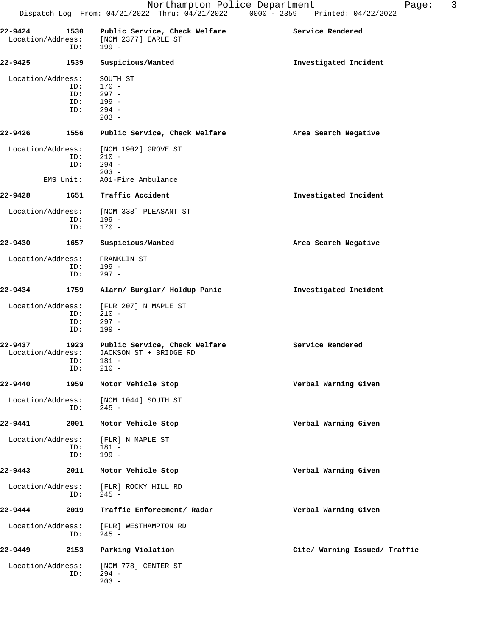| 22-9424<br>Location/Address: | 1530<br>ID: | Public Service, Check Welfare<br>[NOM 2377] EARLE ST<br>$199 -$ | Service Rendered              |
|------------------------------|-------------|-----------------------------------------------------------------|-------------------------------|
| 22-9425                      | 1539        | Suspicious/Wanted                                               | Investigated Incident         |
| Location/Address:            |             | SOUTH ST                                                        |                               |
|                              | ID:         | $170 -$                                                         |                               |
|                              | ID:         | $297 -$                                                         |                               |
|                              | ID:         | $199 -$                                                         |                               |
|                              | ID:         | $294 -$<br>$203 -$                                              |                               |
| 22-9426                      | 1556        | Public Service, Check Welfare                                   | Area Search Negative          |
| Location/Address:            |             | [NOM 1902] GROVE ST                                             |                               |
|                              | ID:         | $210 -$                                                         |                               |
|                              | ID:         | $294 -$                                                         |                               |
|                              | EMS Unit:   | $203 -$<br>A01-Fire Ambulance                                   |                               |
| 22-9428                      | 1651        | Traffic Accident                                                | Investigated Incident         |
| Location/Address:            |             | [NOM 338] PLEASANT ST                                           |                               |
|                              | ID:         | $199 -$                                                         |                               |
|                              | ID:         | $170 -$                                                         |                               |
| 22-9430                      | 1657        | Suspicious/Wanted                                               | Area Search Negative          |
| Location/Address:            |             | FRANKLIN ST                                                     |                               |
|                              | ID:         | 199 -                                                           |                               |
|                              | ID:         | $297 -$                                                         |                               |
| 22-9434                      | 1759        | Alarm/ Burglar/ Holdup Panic                                    | Investigated Incident         |
| Location/Address:            |             | [FLR 207] N MAPLE ST                                            |                               |
|                              | ID:         | $210 -$                                                         |                               |
|                              | ID:         | $297 -$<br>$199 -$                                              |                               |
|                              | ID:         |                                                                 |                               |
| 22-9437                      | 1923        | Public Service, Check Welfare                                   | Service Rendered              |
| Location/Address:            |             | JACKSON ST + BRIDGE RD                                          |                               |
|                              | ID:         | 181 -                                                           |                               |
|                              | ID:         | $210 -$                                                         |                               |
| 22-9440                      | 1959        | Motor Vehicle Stop                                              | Verbal Warning Given          |
| Location/Address:            | ID:         | [NOM 1044] SOUTH ST<br>$245 -$                                  |                               |
| 22-9441                      | 2001        | Motor Vehicle Stop                                              | Verbal Warning Given          |
|                              |             |                                                                 |                               |
| Location/Address:            |             | [FLR] N MAPLE ST                                                |                               |
|                              | ID:<br>ID:  | 181 -<br>$199 -$                                                |                               |
| $22 - 9443$                  | 2011        | Motor Vehicle Stop                                              | Verbal Warning Given          |
| Location/Address:            | ID:         | [FLR] ROCKY HILL RD<br>$245 -$                                  |                               |
| 22-9444                      | 2019        | Traffic Enforcement/ Radar                                      | Verbal Warning Given          |
| Location/Address:            |             | [FLR] WESTHAMPTON RD                                            |                               |
|                              | ID:         | $245 -$                                                         |                               |
| 22-9449                      | 2153        | Parking Violation                                               | Cite/ Warning Issued/ Traffic |
| Location/Address:            | ID:         | [NOM 778] CENTER ST<br>$294 -$<br>$203 -$                       |                               |
|                              |             |                                                                 |                               |